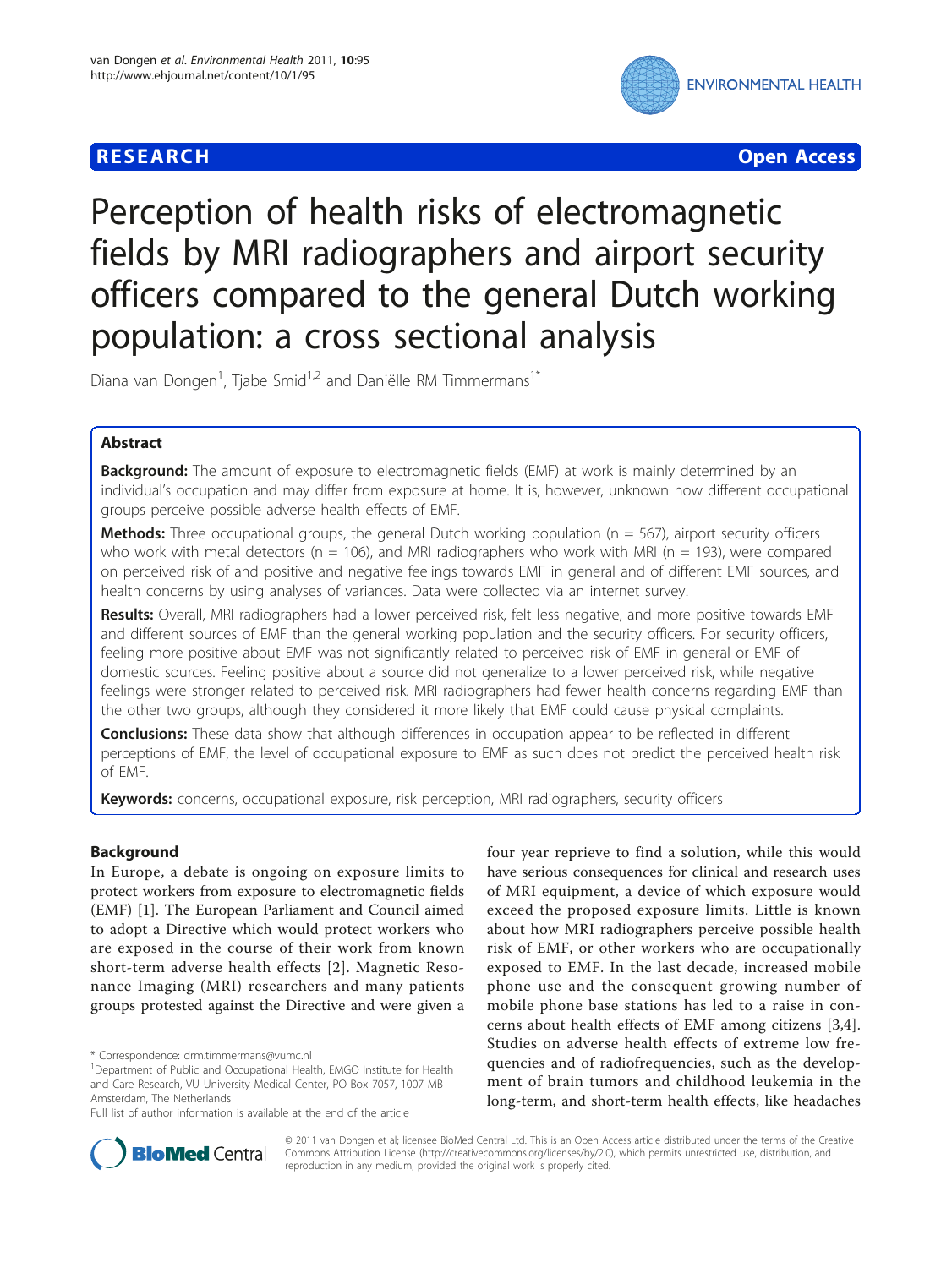# **RESEARCH CONTROL** CONTROL CONTROL CONTROL CONTROL CONTROL CONTROL CONTROL CONTROL CONTROL CONTROL CONTROL CONTROL



# Perception of health risks of electromagnetic fields by MRI radiographers and airport security officers compared to the general Dutch working population: a cross sectional analysis

Diana van Dongen<sup>1</sup>, Tjabe Smid<sup>1,2</sup> and Daniëlle RM Timmermans<sup>1\*</sup>

# Abstract

**Background:** The amount of exposure to electromagnetic fields (EMF) at work is mainly determined by an individual's occupation and may differ from exposure at home. It is, however, unknown how different occupational groups perceive possible adverse health effects of EMF.

**Methods:** Three occupational groups, the general Dutch working population ( $n = 567$ ), airport security officers who work with metal detectors ( $n = 106$ ), and MRI radiographers who work with MRI ( $n = 193$ ), were compared on perceived risk of and positive and negative feelings towards EMF in general and of different EMF sources, and health concerns by using analyses of variances. Data were collected via an internet survey.

Results: Overall, MRI radiographers had a lower perceived risk, felt less negative, and more positive towards EMF and different sources of EMF than the general working population and the security officers. For security officers, feeling more positive about EMF was not significantly related to perceived risk of EMF in general or EMF of domestic sources. Feeling positive about a source did not generalize to a lower perceived risk, while negative feelings were stronger related to perceived risk. MRI radiographers had fewer health concerns regarding EMF than the other two groups, although they considered it more likely that EMF could cause physical complaints.

**Conclusions:** These data show that although differences in occupation appear to be reflected in different perceptions of EMF, the level of occupational exposure to EMF as such does not predict the perceived health risk of EMF.

Keywords: concerns, occupational exposure, risk perception, MRI radiographers, security officers

# Background

In Europe, a debate is ongoing on exposure limits to protect workers from exposure to electromagnetic fields (EMF) [\[1](#page-7-0)]. The European Parliament and Council aimed to adopt a Directive which would protect workers who are exposed in the course of their work from known short-term adverse health effects [[2](#page-7-0)]. Magnetic Resonance Imaging (MRI) researchers and many patients groups protested against the Directive and were given a

\* Correspondence: [drm.timmermans@vumc.nl](mailto:drm.timmermans@vumc.nl)

four year reprieve to find a solution, while this would have serious consequences for clinical and research uses of MRI equipment, a device of which exposure would exceed the proposed exposure limits. Little is known about how MRI radiographers perceive possible health risk of EMF, or other workers who are occupationally exposed to EMF. In the last decade, increased mobile phone use and the consequent growing number of mobile phone base stations has led to a raise in concerns about health effects of EMF among citizens [[3,4](#page-7-0)]. Studies on adverse health effects of extreme low frequencies and of radiofrequencies, such as the development of brain tumors and childhood leukemia in the long-term, and short-term health effects, like headaches



© 2011 van Dongen et al; licensee BioMed Central Ltd. This is an Open Access article distributed under the terms of the Creative Commons Attribution License [\(http://creativecommons.org/licenses/by/2.0](http://creativecommons.org/licenses/by/2.0)), which permits unrestricted use, distribution, and reproduction in any medium, provided the original work is properly cited.

<sup>&</sup>lt;sup>1</sup>Department of Public and Occupational Health, EMGO Institute for Health and Care Research, VU University Medical Center, PO Box 7057, 1007 MB Amsterdam, The Netherlands

Full list of author information is available at the end of the article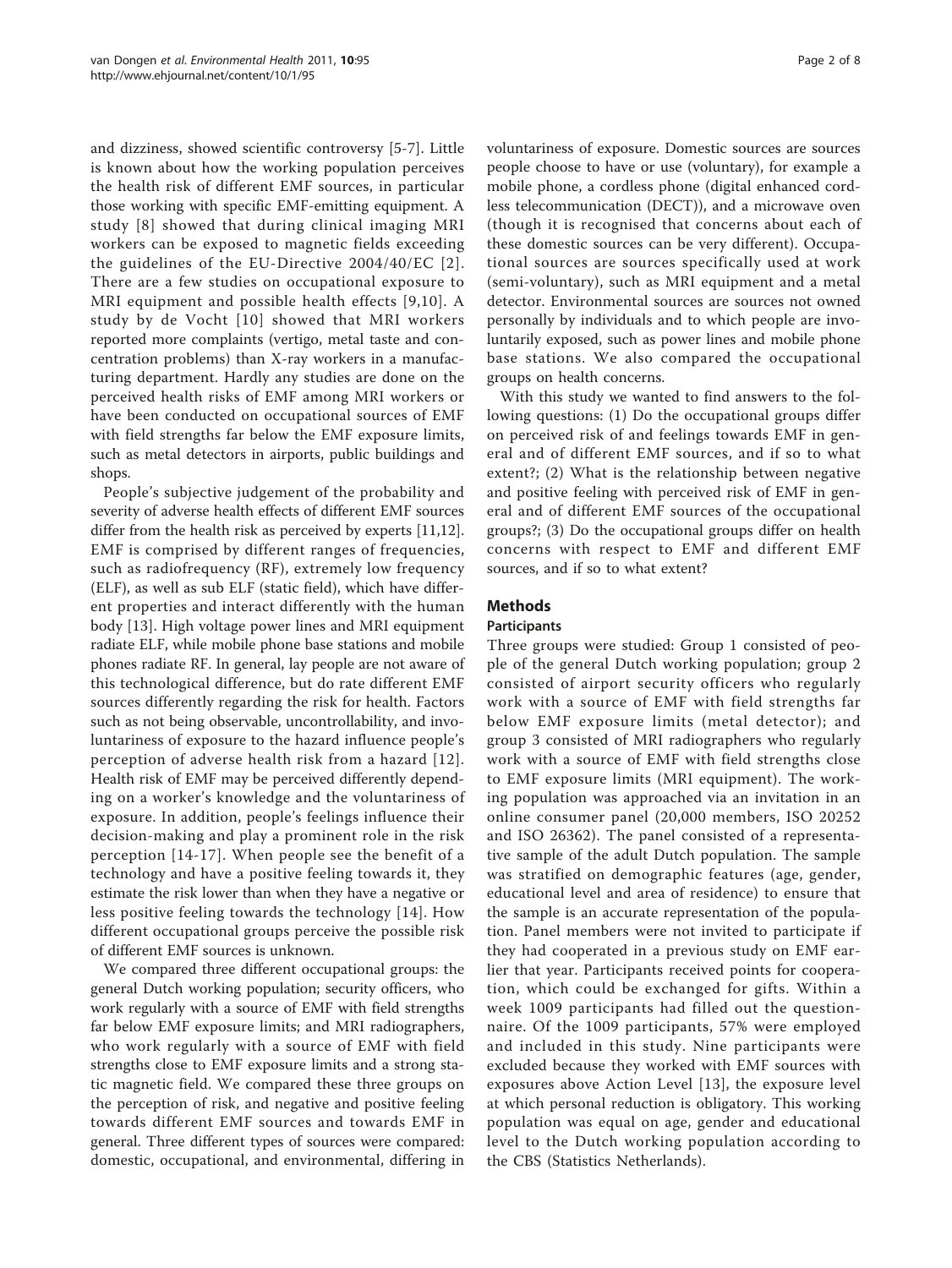and dizziness, showed scientific controversy [[5-7](#page-7-0)]. Little is known about how the working population perceives the health risk of different EMF sources, in particular those working with specific EMF-emitting equipment. A study [[8\]](#page-7-0) showed that during clinical imaging MRI workers can be exposed to magnetic fields exceeding the guidelines of the EU-Directive 2004/40/EC [[2\]](#page-7-0). There are a few studies on occupational exposure to MRI equipment and possible health effects [[9,10\]](#page-7-0). A study by de Vocht [[10](#page-7-0)] showed that MRI workers reported more complaints (vertigo, metal taste and concentration problems) than X-ray workers in a manufacturing department. Hardly any studies are done on the perceived health risks of EMF among MRI workers or have been conducted on occupational sources of EMF with field strengths far below the EMF exposure limits, such as metal detectors in airports, public buildings and shops.

People's subjective judgement of the probability and severity of adverse health effects of different EMF sources differ from the health risk as perceived by experts [[11](#page-7-0),[12](#page-7-0)]. EMF is comprised by different ranges of frequencies, such as radiofrequency (RF), extremely low frequency (ELF), as well as sub ELF (static field), which have different properties and interact differently with the human body [[13\]](#page-7-0). High voltage power lines and MRI equipment radiate ELF, while mobile phone base stations and mobile phones radiate RF. In general, lay people are not aware of this technological difference, but do rate different EMF sources differently regarding the risk for health. Factors such as not being observable, uncontrollability, and involuntariness of exposure to the hazard influence people's perception of adverse health risk from a hazard [[12\]](#page-7-0). Health risk of EMF may be perceived differently depending on a worker's knowledge and the voluntariness of exposure. In addition, people's feelings influence their decision-making and play a prominent role in the risk perception [[14](#page-7-0)-[17\]](#page-7-0). When people see the benefit of a technology and have a positive feeling towards it, they estimate the risk lower than when they have a negative or less positive feeling towards the technology [\[14\]](#page-7-0). How different occupational groups perceive the possible risk of different EMF sources is unknown.

We compared three different occupational groups: the general Dutch working population; security officers, who work regularly with a source of EMF with field strengths far below EMF exposure limits; and MRI radiographers, who work regularly with a source of EMF with field strengths close to EMF exposure limits and a strong static magnetic field. We compared these three groups on the perception of risk, and negative and positive feeling towards different EMF sources and towards EMF in general. Three different types of sources were compared: domestic, occupational, and environmental, differing in voluntariness of exposure. Domestic sources are sources people choose to have or use (voluntary), for example a mobile phone, a cordless phone (digital enhanced cordless telecommunication (DECT)), and a microwave oven (though it is recognised that concerns about each of these domestic sources can be very different). Occupational sources are sources specifically used at work (semi-voluntary), such as MRI equipment and a metal detector. Environmental sources are sources not owned personally by individuals and to which people are involuntarily exposed, such as power lines and mobile phone base stations. We also compared the occupational groups on health concerns.

With this study we wanted to find answers to the following questions: (1) Do the occupational groups differ on perceived risk of and feelings towards EMF in general and of different EMF sources, and if so to what extent?; (2) What is the relationship between negative and positive feeling with perceived risk of EMF in general and of different EMF sources of the occupational groups?; (3) Do the occupational groups differ on health concerns with respect to EMF and different EMF sources, and if so to what extent?

# Methods

#### **Participants**

Three groups were studied: Group 1 consisted of people of the general Dutch working population; group 2 consisted of airport security officers who regularly work with a source of EMF with field strengths far below EMF exposure limits (metal detector); and group 3 consisted of MRI radiographers who regularly work with a source of EMF with field strengths close to EMF exposure limits (MRI equipment). The working population was approached via an invitation in an online consumer panel (20,000 members, ISO 20252 and ISO 26362). The panel consisted of a representative sample of the adult Dutch population. The sample was stratified on demographic features (age, gender, educational level and area of residence) to ensure that the sample is an accurate representation of the population. Panel members were not invited to participate if they had cooperated in a previous study on EMF earlier that year. Participants received points for cooperation, which could be exchanged for gifts. Within a week 1009 participants had filled out the questionnaire. Of the 1009 participants, 57% were employed and included in this study. Nine participants were excluded because they worked with EMF sources with exposures above Action Level [[13\]](#page-7-0), the exposure level at which personal reduction is obligatory. This working population was equal on age, gender and educational level to the Dutch working population according to the CBS (Statistics Netherlands).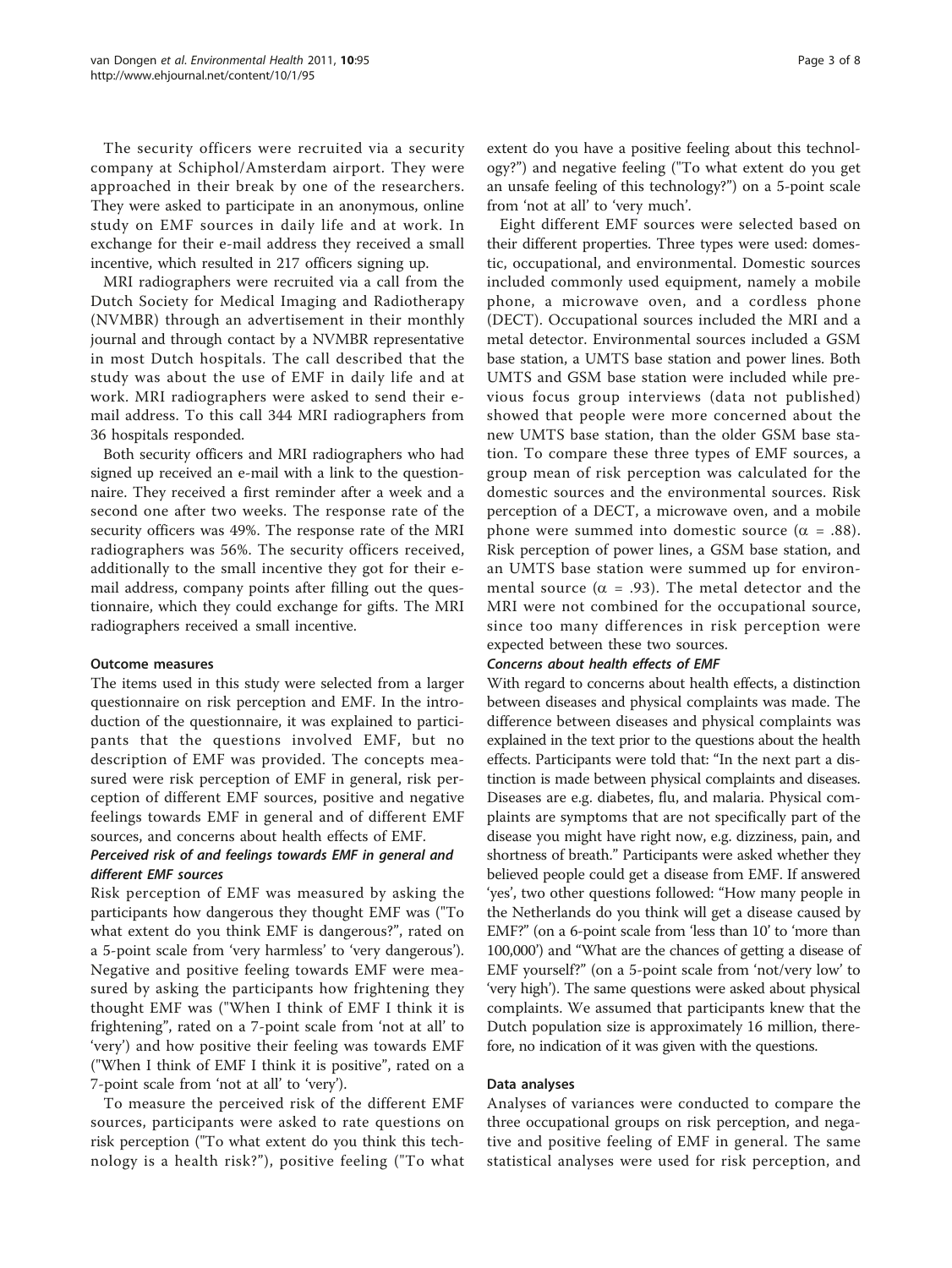The security officers were recruited via a security company at Schiphol/Amsterdam airport. They were approached in their break by one of the researchers. They were asked to participate in an anonymous, online study on EMF sources in daily life and at work. In exchange for their e-mail address they received a small incentive, which resulted in 217 officers signing up.

MRI radiographers were recruited via a call from the Dutch Society for Medical Imaging and Radiotherapy (NVMBR) through an advertisement in their monthly journal and through contact by a NVMBR representative in most Dutch hospitals. The call described that the study was about the use of EMF in daily life and at work. MRI radiographers were asked to send their email address. To this call 344 MRI radiographers from 36 hospitals responded.

Both security officers and MRI radiographers who had signed up received an e-mail with a link to the questionnaire. They received a first reminder after a week and a second one after two weeks. The response rate of the security officers was 49%. The response rate of the MRI radiographers was 56%. The security officers received, additionally to the small incentive they got for their email address, company points after filling out the questionnaire, which they could exchange for gifts. The MRI radiographers received a small incentive.

#### Outcome measures

The items used in this study were selected from a larger questionnaire on risk perception and EMF. In the introduction of the questionnaire, it was explained to participants that the questions involved EMF, but no description of EMF was provided. The concepts measured were risk perception of EMF in general, risk perception of different EMF sources, positive and negative feelings towards EMF in general and of different EMF sources, and concerns about health effects of EMF.

# Perceived risk of and feelings towards EMF in general and different EMF sources

Risk perception of EMF was measured by asking the participants how dangerous they thought EMF was ("To what extent do you think EMF is dangerous?", rated on a 5-point scale from 'very harmless' to 'very dangerous'). Negative and positive feeling towards EMF were measured by asking the participants how frightening they thought EMF was ("When I think of EMF I think it is frightening", rated on a 7-point scale from 'not at all' to 'very') and how positive their feeling was towards EMF ("When I think of EMF I think it is positive", rated on a 7-point scale from 'not at all' to 'very').

To measure the perceived risk of the different EMF sources, participants were asked to rate questions on risk perception ("To what extent do you think this technology is a health risk?"), positive feeling ("To what extent do you have a positive feeling about this technology?") and negative feeling ("To what extent do you get an unsafe feeling of this technology?") on a 5-point scale from 'not at all' to 'very much'.

Eight different EMF sources were selected based on their different properties. Three types were used: domestic, occupational, and environmental. Domestic sources included commonly used equipment, namely a mobile phone, a microwave oven, and a cordless phone (DECT). Occupational sources included the MRI and a metal detector. Environmental sources included a GSM base station, a UMTS base station and power lines. Both UMTS and GSM base station were included while previous focus group interviews (data not published) showed that people were more concerned about the new UMTS base station, than the older GSM base station. To compare these three types of EMF sources, a group mean of risk perception was calculated for the domestic sources and the environmental sources. Risk perception of a DECT, a microwave oven, and a mobile phone were summed into domestic source ( $\alpha$  = .88). Risk perception of power lines, a GSM base station, and an UMTS base station were summed up for environmental source ( $\alpha$  = .93). The metal detector and the MRI were not combined for the occupational source, since too many differences in risk perception were expected between these two sources.

### Concerns about health effects of EMF

With regard to concerns about health effects, a distinction between diseases and physical complaints was made. The difference between diseases and physical complaints was explained in the text prior to the questions about the health effects. Participants were told that: "In the next part a distinction is made between physical complaints and diseases. Diseases are e.g. diabetes, flu, and malaria. Physical complaints are symptoms that are not specifically part of the disease you might have right now, e.g. dizziness, pain, and shortness of breath." Participants were asked whether they believed people could get a disease from EMF. If answered 'yes', two other questions followed: "How many people in the Netherlands do you think will get a disease caused by EMF?" (on a 6-point scale from 'less than 10' to 'more than 100,000') and "What are the chances of getting a disease of EMF yourself?" (on a 5-point scale from 'not/very low' to 'very high'). The same questions were asked about physical complaints. We assumed that participants knew that the Dutch population size is approximately 16 million, therefore, no indication of it was given with the questions.

### Data analyses

Analyses of variances were conducted to compare the three occupational groups on risk perception, and negative and positive feeling of EMF in general. The same statistical analyses were used for risk perception, and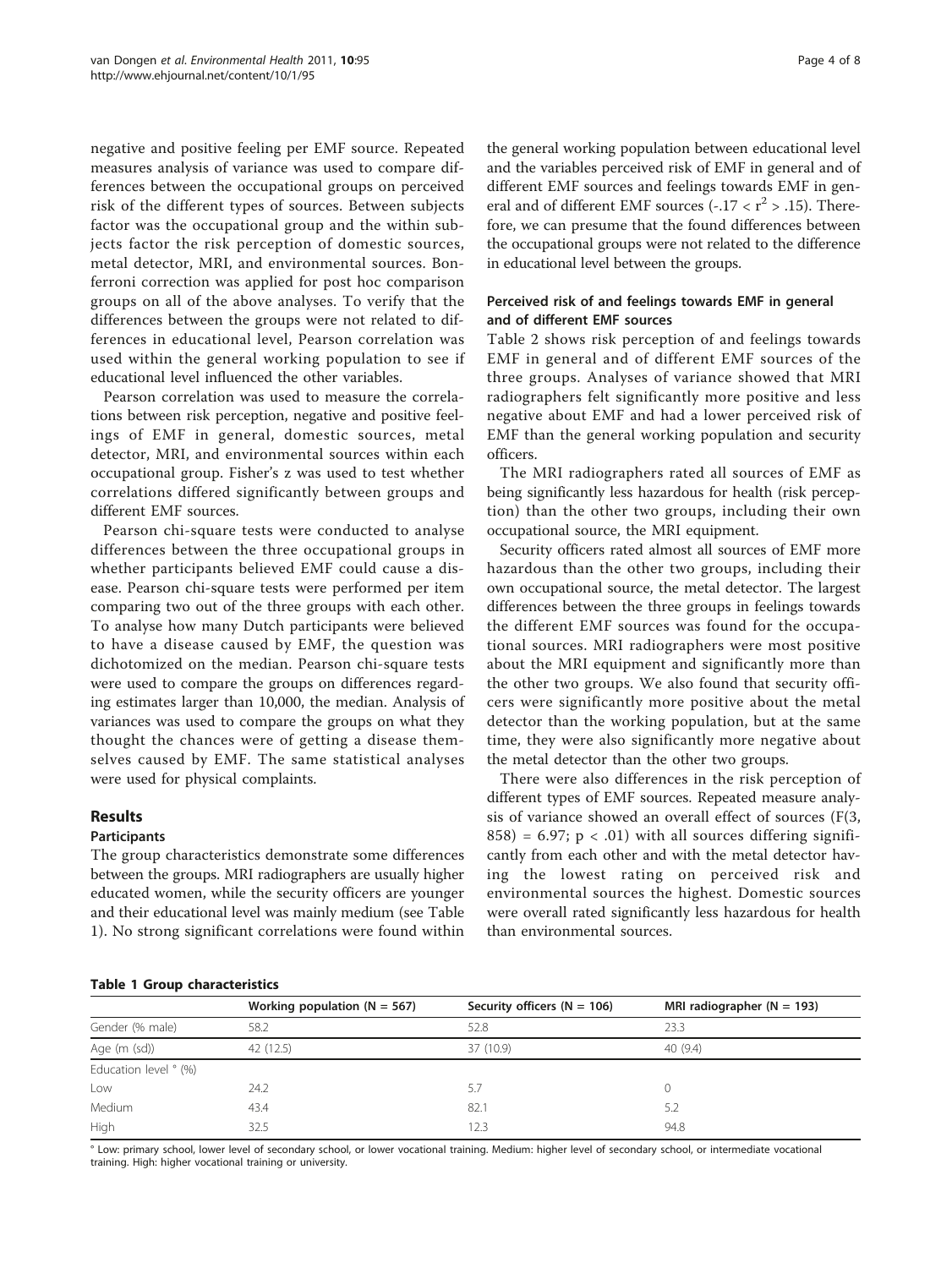negative and positive feeling per EMF source. Repeated measures analysis of variance was used to compare differences between the occupational groups on perceived risk of the different types of sources. Between subjects factor was the occupational group and the within subjects factor the risk perception of domestic sources, metal detector, MRI, and environmental sources. Bonferroni correction was applied for post hoc comparison groups on all of the above analyses. To verify that the differences between the groups were not related to differences in educational level, Pearson correlation was used within the general working population to see if educational level influenced the other variables.

Pearson correlation was used to measure the correlations between risk perception, negative and positive feelings of EMF in general, domestic sources, metal detector, MRI, and environmental sources within each occupational group. Fisher's z was used to test whether correlations differed significantly between groups and different EMF sources.

Pearson chi-square tests were conducted to analyse differences between the three occupational groups in whether participants believed EMF could cause a disease. Pearson chi-square tests were performed per item comparing two out of the three groups with each other. To analyse how many Dutch participants were believed to have a disease caused by EMF, the question was dichotomized on the median. Pearson chi-square tests were used to compare the groups on differences regarding estimates larger than 10,000, the median. Analysis of variances was used to compare the groups on what they thought the chances were of getting a disease themselves caused by EMF. The same statistical analyses were used for physical complaints.

#### Results

#### Participants

The group characteristics demonstrate some differences between the groups. MRI radiographers are usually higher educated women, while the security officers are younger and their educational level was mainly medium (see Table 1). No strong significant correlations were found within

the general working population between educational level and the variables perceived risk of EMF in general and of different EMF sources and feelings towards EMF in general and of different EMF sources  $(-.17 < r^2 > .15)$ . Therefore, we can presume that the found differences between the occupational groups were not related to the difference in educational level between the groups.

## Perceived risk of and feelings towards EMF in general and of different EMF sources

Table [2](#page-4-0) shows risk perception of and feelings towards EMF in general and of different EMF sources of the three groups. Analyses of variance showed that MRI radiographers felt significantly more positive and less negative about EMF and had a lower perceived risk of EMF than the general working population and security officers.

The MRI radiographers rated all sources of EMF as being significantly less hazardous for health (risk perception) than the other two groups, including their own occupational source, the MRI equipment.

Security officers rated almost all sources of EMF more hazardous than the other two groups, including their own occupational source, the metal detector. The largest differences between the three groups in feelings towards the different EMF sources was found for the occupational sources. MRI radiographers were most positive about the MRI equipment and significantly more than the other two groups. We also found that security officers were significantly more positive about the metal detector than the working population, but at the same time, they were also significantly more negative about the metal detector than the other two groups.

There were also differences in the risk perception of different types of EMF sources. Repeated measure analysis of variance showed an overall effect of sources (F(3,  $858$ ) = 6.97; p < .01) with all sources differing significantly from each other and with the metal detector having the lowest rating on perceived risk and environmental sources the highest. Domestic sources were overall rated significantly less hazardous for health than environmental sources.

#### Table 1 Group characteristics

|                       | Working population $(N = 567)$ | Security officers ( $N = 106$ ) | MRI radiographer ( $N = 193$ ) |  |  |
|-----------------------|--------------------------------|---------------------------------|--------------------------------|--|--|
| Gender (% male)       | 58.2                           | 52.8                            | 23.3                           |  |  |
| Age (m (sd))          | 42 (12.5)                      | 37 (10.9)                       | 40(9,4)                        |  |  |
| Education level ° (%) |                                |                                 |                                |  |  |
| Low                   | 24.2                           | 5.7                             |                                |  |  |
| Medium                | 43.4                           | 82.1                            | 5.2                            |  |  |
| High                  | 32.5                           | 12.3                            | 94.8                           |  |  |

° Low: primary school, lower level of secondary school, or lower vocational training. Medium: higher level of secondary school, or intermediate vocational training. High: higher vocational training or university.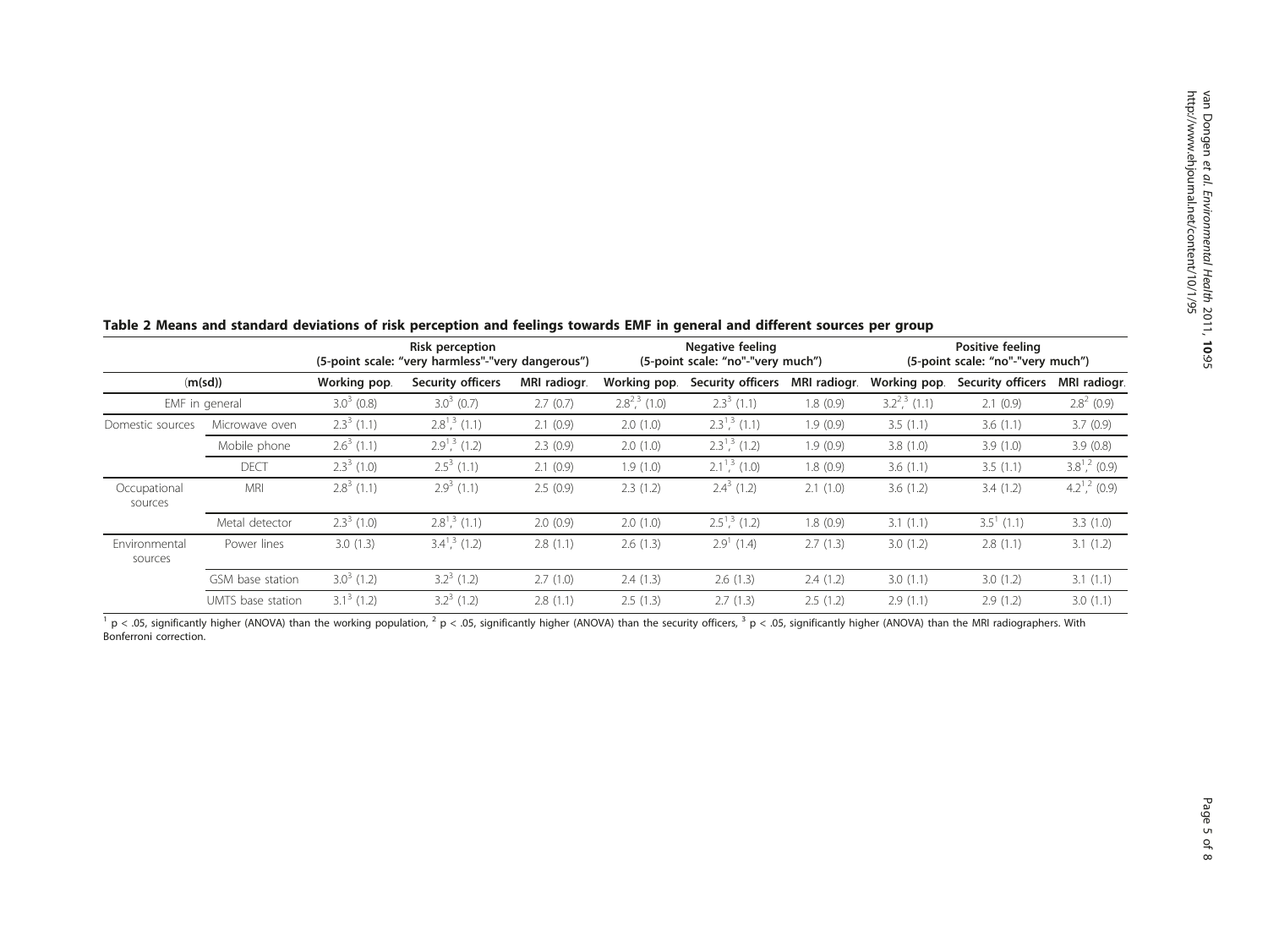|                           |                   | Risk perception<br>(5-point scale: "very harmless"-"very dangerous") |                                           |                          | Negative feeling<br>(5-point scale: "no"-"very much") |                                    |                          | Positive feeling<br>(5-point scale: "no"-"very much") |                                      |                               |
|---------------------------|-------------------|----------------------------------------------------------------------|-------------------------------------------|--------------------------|-------------------------------------------------------|------------------------------------|--------------------------|-------------------------------------------------------|--------------------------------------|-------------------------------|
| (m(sd))<br>EMF in general |                   | Working pop.<br>$3.0^3$ (0.8)                                        | <b>Security officers</b><br>$3.0^3$ (0.7) | MRI radiogr.<br>2.7(0.7) | Working pop.<br>$2.8^{2}$ , $(1.0)$                   | Security officers<br>$2.3^3$ (1.1) | MRI radiogr.<br>1.8(0.9) | Working pop.<br>$3.2^{2.3}$ (1.1)                     | <b>Security officers</b><br>2.1(0.9) | MRI radiogr.<br>$2.8^2$ (0.9) |
|                           |                   |                                                                      |                                           |                          |                                                       |                                    |                          |                                                       |                                      |                               |
|                           | Mobile phone      | $2.6^3$ (1.1)                                                        | $2.9^{1,3}$ (1.2)                         | 2.3(0.9)                 | 2.0(1.0)                                              | $2.3^{1.3}$ (1.2)                  | 1.9(0.9)                 | 3.8(1.0)                                              | 3.9(1.0)                             | 3.9(0.8)                      |
|                           | <b>DECT</b>       | $2.3^3$ (1.0)                                                        | $2.5^3$ (1.1)                             | 2.1(0.9)                 | 1.9(1.0)                                              | $2.1^{13}$ (1.0)                   | 1.8(0.9)                 | 3.6(1.1)                                              | 3.5(1.1)                             | $3.8^{1,2}$ (0.9)             |
| Occupational<br>sources   | <b>MRI</b>        | $2.8^3$ (1.1)                                                        | $2.93$ (1.1)                              | 2.5(0.9)                 | 2.3(1.2)                                              | $2.4^3$ (1.2)                      | 2.1(1.0)                 | 3.6(1.2)                                              | 3.4(1.2)                             | $4.2^{1,2}$ (0.9)             |
|                           | Metal detector    | $2.3^{3}$ (1.0)                                                      | $2.8^{1,3}$ (1.1)                         | 2.0(0.9)                 | 2.0(1.0)                                              | $2.5^{1,3}$ (1.2)                  | 1.8(0.9)                 | 3.1(1.1)                                              | $3.5^{\mathrm{T}}$ (1.1)             | 3.3(1.0)                      |
| Environmental<br>sources  | Power lines       | 3.0(1.3)                                                             | $3.4^{1,3}$ (1.2)                         | 2.8(1.1)                 | 2.6(1.3)                                              | $2.91$ (1.4)                       | 2.7(1.3)                 | 3.0(1.2)                                              | 2.8(1.1)                             | 3.1(1.2)                      |
|                           | GSM base station  | $3.0^3$ (1.2)                                                        | $3.2^3$ (1.2)                             | 2.7(1.0)                 | 2.4(1.3)                                              | 2.6(1.3)                           | 2.4(1.2)                 | 3.0(1.1)                                              | 3.0(1.2)                             | 3.1(1.1)                      |
|                           | UMTS base station | $3.1^3$ (1.2)                                                        | $3.2^3$ (1.2)                             | 2.8(1.1)                 | 2.5(1.3)                                              | 2.7(1.3)                           | 2.5(1.2)                 | 2.9(1.1)                                              | 2.9(1.2)                             | 3.0(1.1)                      |

<span id="page-4-0"></span>Table 2 Means and standard deviations of risk perception and feelings towards EMF in general and different sources per group

 $\frac{1}{1}$  p < .05, significantly higher (ANOVA) than the working population,  $\frac{2}{1}$  p < .05, significantly higher (ANOVA) than the security officers,  $\frac{3}{1}$  p < .05, significantly higher (ANOVA) than the MRI radiogr Bonferroni correction.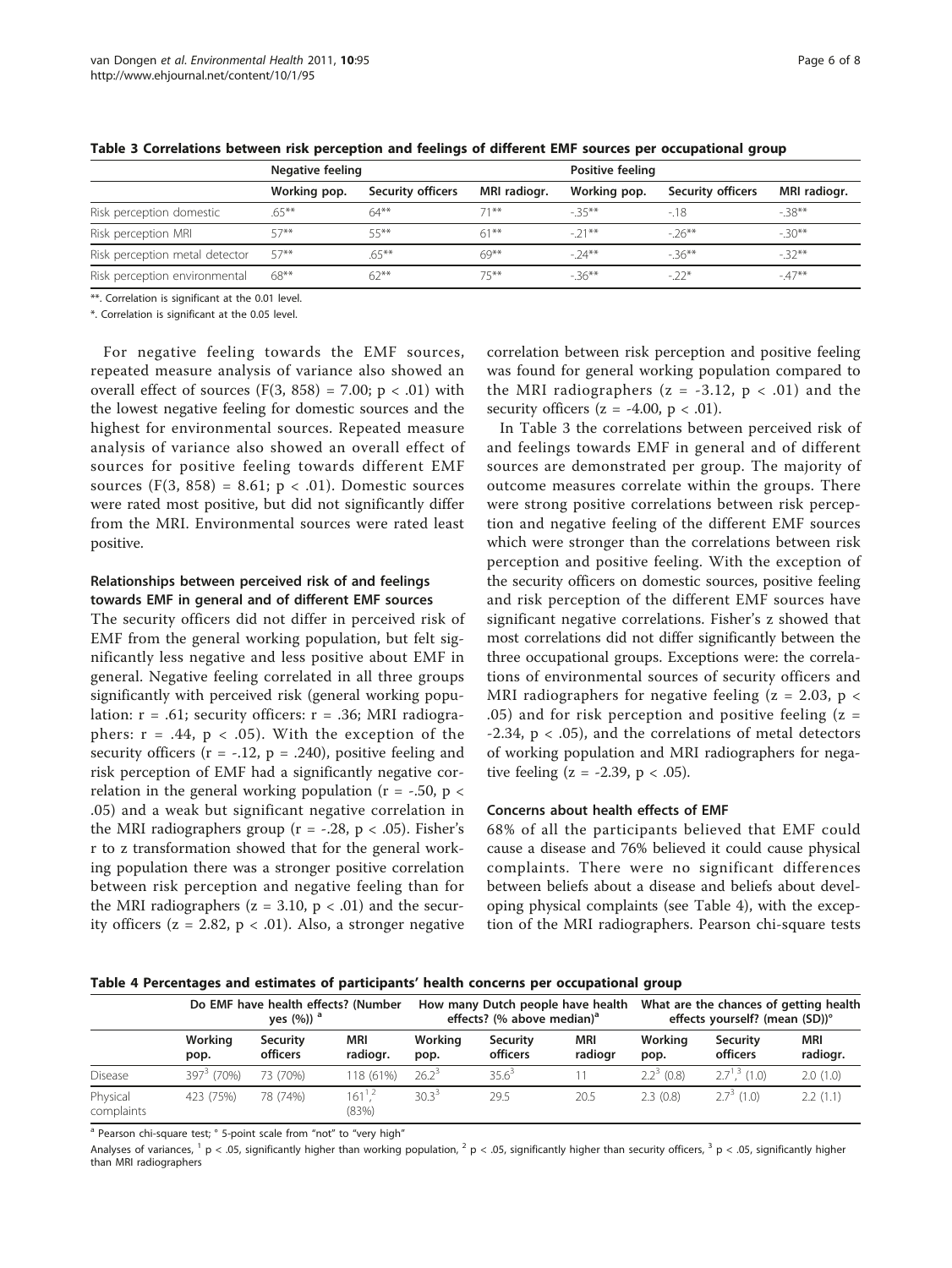|                                | Negative feeling |                          |              | Positive feeling |                          |              |  |
|--------------------------------|------------------|--------------------------|--------------|------------------|--------------------------|--------------|--|
|                                | Working pop.     | <b>Security officers</b> | MRI radiogr. | Working pop.     | <b>Security officers</b> | MRI radiogr. |  |
| Risk perception domestic       | $.65***$         | $64***$                  | $71**$       | $-35***$         | - 18                     | $-38**$      |  |
| Risk perception MRI            | 57**             | 55**                     | $61***$      | $-21**$          | $-26***$                 | $-30**$      |  |
| Risk perception metal detector | 57**             | $.65***$                 | 69**         | $-74***$         | $-36***$                 | $-32**$      |  |
| Risk perception environmental  | 68**             | $62**$                   | 75**         | $-36***$         | $-22*$                   | $-47**$      |  |

<span id="page-5-0"></span>Table 3 Correlations between risk perception and feelings of different EMF sources per occupational group

\*\*. Correlation is significant at the 0.01 level.

\*. Correlation is significant at the 0.05 level.

For negative feeling towards the EMF sources, repeated measure analysis of variance also showed an overall effect of sources  $(F(3, 858) = 7.00; p < .01)$  with the lowest negative feeling for domestic sources and the highest for environmental sources. Repeated measure analysis of variance also showed an overall effect of sources for positive feeling towards different EMF sources (F(3, 858) = 8.61;  $p < .01$ ). Domestic sources were rated most positive, but did not significantly differ from the MRI. Environmental sources were rated least positive.

### Relationships between perceived risk of and feelings towards EMF in general and of different EMF sources

The security officers did not differ in perceived risk of EMF from the general working population, but felt significantly less negative and less positive about EMF in general. Negative feeling correlated in all three groups significantly with perceived risk (general working population:  $r = .61$ ; security officers:  $r = .36$ ; MRI radiographers:  $r = .44$ ,  $p < .05$ ). With the exception of the security officers ( $r = -.12$ ,  $p = .240$ ), positive feeling and risk perception of EMF had a significantly negative correlation in the general working population ( $r = -0.50$ ,  $p <$ .05) and a weak but significant negative correlation in the MRI radiographers group ( $r = -.28$ ,  $p < .05$ ). Fisher's r to z transformation showed that for the general working population there was a stronger positive correlation between risk perception and negative feeling than for the MRI radiographers ( $z = 3.10$ ,  $p < .01$ ) and the security officers ( $z = 2.82$ ,  $p < .01$ ). Also, a stronger negative

correlation between risk perception and positive feeling was found for general working population compared to the MRI radiographers ( $z = -3.12$ ,  $p < .01$ ) and the security officers  $(z = -4.00, p < .01)$ .

In Table 3 the correlations between perceived risk of and feelings towards EMF in general and of different sources are demonstrated per group. The majority of outcome measures correlate within the groups. There were strong positive correlations between risk perception and negative feeling of the different EMF sources which were stronger than the correlations between risk perception and positive feeling. With the exception of the security officers on domestic sources, positive feeling and risk perception of the different EMF sources have significant negative correlations. Fisher's z showed that most correlations did not differ significantly between the three occupational groups. Exceptions were: the correlations of environmental sources of security officers and MRI radiographers for negative feeling ( $z = 2.03$ ,  $p <$ .05) and for risk perception and positive feeling  $(z =$ -2.34,  $p < .05$ ), and the correlations of metal detectors of working population and MRI radiographers for negative feeling  $(z = -2.39, p < .05)$ .

#### Concerns about health effects of EMF

68% of all the participants believed that EMF could cause a disease and 76% believed it could cause physical complaints. There were no significant differences between beliefs about a disease and beliefs about developing physical complaints (see Table 4), with the exception of the MRI radiographers. Pearson chi-square tests

Table 4 Percentages and estimates of participants' health concerns per occupational group

|                        | Do EMF have health effects? (Number |          |                     | How many Dutch people have health      |          |         | What are the chances of getting health |                   |            |
|------------------------|-------------------------------------|----------|---------------------|----------------------------------------|----------|---------|----------------------------------------|-------------------|------------|
|                        | yes $(\%)$ ) $^a$                   |          |                     | effects? (% above median) <sup>a</sup> |          |         | effects yourself? (mean (SD))°         |                   |            |
|                        | Working                             | Security | MRI                 | Working                                | Security | MRI     | Working                                | Security          | <b>MRI</b> |
|                        | pop.                                | officers | radiogr.            | pop.                                   | officers | radiogr | pop.                                   | officers          | radiogr.   |
| Disease                | $397^3$ (70%)                       | 73 (70%) | 118 (61%)           | $26.2^3$                               | $35.6^3$ |         | $2.2^3$ (0.8)                          | $2.7^{1.3}$ (1.0) | 2.0(1.0)   |
| Physical<br>complaints | 423 (75%)                           | 78 (74%) | $161^{12}$<br>(83%) | $30.3^{3}$                             | 29.5     | 20.5    | 2.3(0.8)                               | $2.7^{3}$ (1.0)   | 2.2(1.1)   |

<sup>a</sup> Pearson chi-square test; ° 5-point scale from "not" to "very high"

Analyses of variances, <sup>1</sup> p < .05, significantly higher than working population, <sup>2</sup> p < .05, significantly higher than security officers, <sup>3</sup> p < .05, significantly higher than MRI radiographers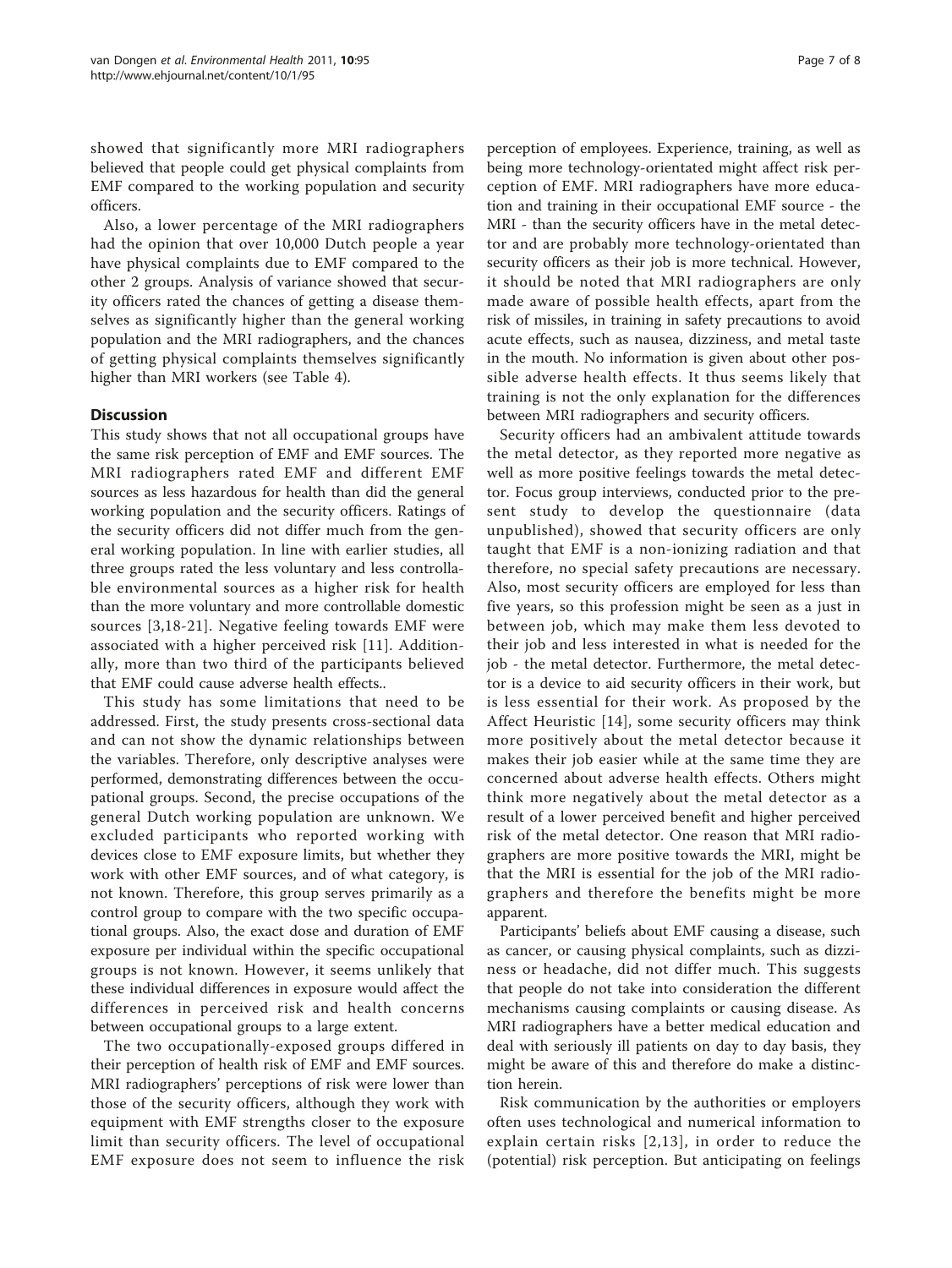showed that significantly more MRI radiographers believed that people could get physical complaints from EMF compared to the working population and security officers.

Also, a lower percentage of the MRI radiographers had the opinion that over 10,000 Dutch people a year have physical complaints due to EMF compared to the other 2 groups. Analysis of variance showed that security officers rated the chances of getting a disease themselves as significantly higher than the general working population and the MRI radiographers, and the chances of getting physical complaints themselves significantly higher than MRI workers (see Table [4](#page-5-0)).

### **Discussion**

This study shows that not all occupational groups have the same risk perception of EMF and EMF sources. The MRI radiographers rated EMF and different EMF sources as less hazardous for health than did the general working population and the security officers. Ratings of the security officers did not differ much from the general working population. In line with earlier studies, all three groups rated the less voluntary and less controllable environmental sources as a higher risk for health than the more voluntary and more controllable domestic sources [[3,18](#page-7-0)-[21](#page-7-0)]. Negative feeling towards EMF were associated with a higher perceived risk [[11](#page-7-0)]. Additionally, more than two third of the participants believed that EMF could cause adverse health effects..

This study has some limitations that need to be addressed. First, the study presents cross-sectional data and can not show the dynamic relationships between the variables. Therefore, only descriptive analyses were performed, demonstrating differences between the occupational groups. Second, the precise occupations of the general Dutch working population are unknown. We excluded participants who reported working with devices close to EMF exposure limits, but whether they work with other EMF sources, and of what category, is not known. Therefore, this group serves primarily as a control group to compare with the two specific occupational groups. Also, the exact dose and duration of EMF exposure per individual within the specific occupational groups is not known. However, it seems unlikely that these individual differences in exposure would affect the differences in perceived risk and health concerns between occupational groups to a large extent.

The two occupationally-exposed groups differed in their perception of health risk of EMF and EMF sources. MRI radiographers' perceptions of risk were lower than those of the security officers, although they work with equipment with EMF strengths closer to the exposure limit than security officers. The level of occupational EMF exposure does not seem to influence the risk

perception of employees. Experience, training, as well as being more technology-orientated might affect risk perception of EMF. MRI radiographers have more education and training in their occupational EMF source - the MRI - than the security officers have in the metal detector and are probably more technology-orientated than security officers as their job is more technical. However, it should be noted that MRI radiographers are only made aware of possible health effects, apart from the risk of missiles, in training in safety precautions to avoid acute effects, such as nausea, dizziness, and metal taste in the mouth. No information is given about other possible adverse health effects. It thus seems likely that training is not the only explanation for the differences between MRI radiographers and security officers.

Security officers had an ambivalent attitude towards the metal detector, as they reported more negative as well as more positive feelings towards the metal detector. Focus group interviews, conducted prior to the present study to develop the questionnaire (data unpublished), showed that security officers are only taught that EMF is a non-ionizing radiation and that therefore, no special safety precautions are necessary. Also, most security officers are employed for less than five years, so this profession might be seen as a just in between job, which may make them less devoted to their job and less interested in what is needed for the job - the metal detector. Furthermore, the metal detector is a device to aid security officers in their work, but is less essential for their work. As proposed by the Affect Heuristic [[14\]](#page-7-0), some security officers may think more positively about the metal detector because it makes their job easier while at the same time they are concerned about adverse health effects. Others might think more negatively about the metal detector as a result of a lower perceived benefit and higher perceived risk of the metal detector. One reason that MRI radiographers are more positive towards the MRI, might be that the MRI is essential for the job of the MRI radiographers and therefore the benefits might be more apparent.

Participants' beliefs about EMF causing a disease, such as cancer, or causing physical complaints, such as dizziness or headache, did not differ much. This suggests that people do not take into consideration the different mechanisms causing complaints or causing disease. As MRI radiographers have a better medical education and deal with seriously ill patients on day to day basis, they might be aware of this and therefore do make a distinction herein.

Risk communication by the authorities or employers often uses technological and numerical information to explain certain risks [[2](#page-7-0),[13\]](#page-7-0), in order to reduce the (potential) risk perception. But anticipating on feelings